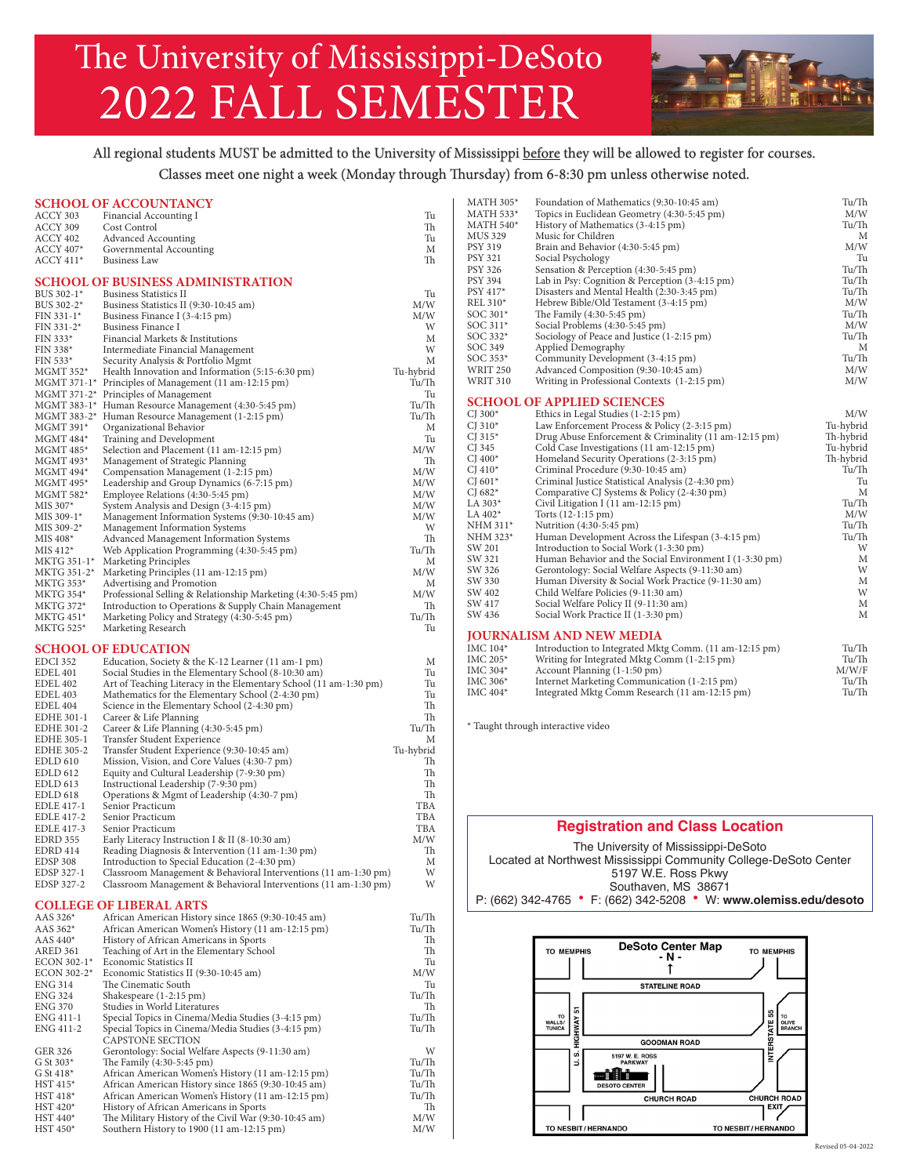# The University of Mississippi-DeSoto 2022 FALL SEMESTER



## All regional students MUST be admitted to the University of Mississippi before they will be allowed to register for courses. Classes meet one night a week (Monday through Thursday) from 6-8:30 pm unless otherwise noted.

|                          | <b>SCHOOL OF ACCOUNTANCY</b>                                                       |                 | <b>MATH 305*</b>       | Foundation of Mathematics (9:30-10:45 am)                                                  | Tu/Th      |
|--------------------------|------------------------------------------------------------------------------------|-----------------|------------------------|--------------------------------------------------------------------------------------------|------------|
| ACCY 303                 | Financial Accounting I                                                             | Tu              | MATH 533*              | Topics in Euclidean Geometry (4:30-5:45 pm)                                                | M/W        |
| ACCY 309                 | Cost Control                                                                       | Th              | $MATH 540*$            | History of Mathematics (3-4:15 pm)                                                         | Tu/Th      |
| ACCY 402                 | <b>Advanced Accounting</b>                                                         | Tu              | MUS 329                | Music for Children                                                                         | M          |
| <b>ACCY 407*</b>         | Governmental Accounting                                                            | М               | <b>PSY 319</b>         | Brain and Behavior (4:30-5:45 pm)                                                          | M/W        |
| $ACCY 411*$              | <b>Business Law</b>                                                                | Th              | <b>PSY 321</b>         | Social Psychology                                                                          | Tu         |
|                          |                                                                                    |                 | PSY 326                | Sensation & Perception (4:30-5:45 pm)                                                      | Tu/Th      |
|                          | <b>SCHOOL OF BUSINESS ADMINISTRATION</b>                                           |                 | PSY 394                | Lab in Psy: Cognition & Perception (3-4:15 pm)                                             | Tu/Th      |
| BUS 302-1*               | <b>Business Statistics II</b>                                                      | Tu              | PSY 417*               | Disasters and Mental Health (2:30-3:45 pm)                                                 | Tu/Th      |
| BUS 302-2*               | Business Statistics II (9:30-10:45 am)                                             | M/W             | REL 310*               | Hebrew Bible/Old Testament (3-4:15 pm)                                                     | M/W        |
| FIN 331-1*               | Business Finance I (3-4:15 pm)                                                     | M/W             | SOC 301*               | The Family (4:30-5:45 pm)                                                                  | Tu/Th      |
| FIN 331-2*               | Business Finance I                                                                 | W               | SOC 311*               | Social Problems (4:30-5:45 pm)                                                             | M/W        |
| FIN 333*                 | Financial Markets & Institutions                                                   | М               | SOC 332*               | Sociology of Peace and Justice (1-2:15 pm)                                                 | Tu/Th      |
| $FIN 338*$               | Intermediate Financial Management                                                  | W               | SOC 349                | Applied Demography                                                                         | M          |
| FIN 533*                 | Security Analysis & Portfolio Mgmt                                                 | М               | SOC 353*               | Community Development (3-4:15 pm)                                                          | Tu/Th      |
| MGMT 352*                | Health Innovation and Information (5:15-6:30 pm)                                   | Tu-hybrid       | <b>WRIT 250</b>        | Advanced Composition (9:30-10:45 am)                                                       | M/W        |
|                          | MGMT 371-1* Principles of Management (11 am-12:15 pm)                              | Tu/Th           | <b>WRIT 310</b>        | Writing in Professional Contexts (1-2:15 pm)                                               | M/W        |
|                          | $MGMT 371-2*$ Principles of Management                                             | Tu              |                        |                                                                                            |            |
|                          | MGMT 383-1* Human Resource Management (4:30-5:45 pm)                               | Tu/Th           |                        | <b>SCHOOL OF APPLIED SCIENCES</b>                                                          |            |
|                          | MGMT 383-2* Human Resource Management (1-2:15 pm)                                  | Tu/Th           | CJ $300*$              | Ethics in Legal Studies (1-2:15 pm)                                                        | M/W        |
| MGMT 391*                | Organizational Behavior                                                            | М               | CJ 310 $*$             | Law Enforcement Process & Policy (2-3:15 pm)                                               | Tu-hybrid  |
| $MGMT 484*$              | Training and Development                                                           | Tu              | CJ $315*$              | Drug Abuse Enforcement & Criminality (11 am-12:15 pm)                                      | Th-hybrid  |
| MGMT 485*                | Selection and Placement (11 am-12:15 pm)                                           | M/W             | CJ 345                 | Cold Case Investigations (11 am-12:15 pm)                                                  | Tu-hybrid  |
| MGMT 493*                | Management of Strategic Planning                                                   | Th              | CJ $400*$              | Homeland Security Operations (2-3:15 pm)                                                   | Th-hybrid  |
| MGMT 494*                | Compensation Management (1-2:15 pm)                                                | M/W             | CJ $410*$<br>CJ $601*$ | Criminal Procedure (9:30-10:45 am)<br>Criminal Justice Statistical Analysis (2-4:30 pm)    | Tu/Th      |
| MGMT 495*                | Leadership and Group Dynamics (6-7:15 pm)                                          | M/W             | CJ 682 $*$             |                                                                                            | Tu<br>M    |
| MGMT 582*                | Employee Relations (4:30-5:45 pm)                                                  | M/W             | LA 303*                | Comparative CJ Systems & Policy (2-4:30 pm)                                                | Tu/Th      |
| MIS 307*                 | System Analysis and Design (3-4:15 pm)                                             | M/W             | LA $402*$              | Civil Litigation I (11 am-12:15 pm)                                                        | M/W        |
| MIS 309-1*               | Management Information Systems (9:30-10:45 am)                                     | M/W             | NHM 311*               | Torts (12-1:15 pm)                                                                         | Tu/Th      |
| MIS 309-2*               | Management Information Systems                                                     | W               |                        | Nutrition (4:30-5:45 pm)                                                                   |            |
| $MIS 408*$               | Advanced Management Information Systems                                            | Th              | NHM 323*<br>SW 201     | Human Development Across the Lifespan (3-4:15 pm)                                          | Tu/Th<br>W |
| $MIS 412*$               | Web Application Programming (4:30-5:45 pm)                                         | Tu/Th           |                        | Introduction to Social Work (1-3:30 pm)                                                    |            |
| MKTG 351-1*              | Marketing Principles                                                               | М               | SW 321                 | Human Behavior and the Social Environment I (1-3:30 pm)                                    | M<br>W     |
| MKTG 351-2*              | Marketing Principles (11 am-12:15 pm)                                              | M/W             | SW 326                 | Gerontology: Social Welfare Aspects (9-11:30 am)                                           |            |
| <b>MKTG 353*</b>         | Advertising and Promotion                                                          | M               | SW 330<br>SW 402       | Human Diversity & Social Work Practice (9-11:30 am)<br>Child Welfare Policies (9-11:30 am) | M<br>W     |
| <b>MKTG 354*</b>         | Professional Selling & Relationship Marketing (4:30-5:45 pm)                       | M/W             | SW 417                 |                                                                                            | M          |
| MKTG 372*                | Introduction to Operations & Supply Chain Management                               | Th              | SW 436                 | Social Welfare Policy II (9-11:30 am)<br>Social Work Practice II (1-3:30 pm)               | M          |
| $MKTG 451*$              | Marketing Policy and Strategy (4:30-5:45 pm)                                       | Tu/Th           |                        |                                                                                            |            |
| <b>MKTG 525*</b>         | Marketing Research                                                                 | Tu              |                        | <b>JOURNALISM AND NEW MEDIA</b>                                                            |            |
|                          |                                                                                    |                 | IMC 104*               | Introduction to Integrated Mktg Comm. (11 am-12:15 pm)                                     | Tu/Th      |
|                          | <b>SCHOOL OF EDUCATION</b>                                                         |                 | IMC 205*               | Writing for Integrated Mktg Comm (1-2:15 pm)                                               | Tu/Th      |
| EDCI 352                 | Education, Society & the K-12 Learner (11 am-1 pm)                                 | М               | IMC 304*               | Account Planning (1-1:50 pm)                                                               | M/W/F      |
| <b>EDEL 401</b>          | Social Studies in the Elementary School (8-10:30 am)                               | Tu              | IMC 306*               | Internet Marketing Communication (1-2:15 pm)                                               | Tu/Th      |
| EDEL 402                 | Art of Teaching Literacy in the Elementary School (11 am-1:30 pm)                  | Tu              | IMC 404*               | Integrated Mktg Comm Research (11 am-12:15 pm)                                             | Tu/Th      |
| EDEL 403                 | Mathematics for the Elementary School (2-4:30 pm)                                  | Tu              |                        |                                                                                            |            |
| EDEL 404                 | Science in the Elementary School (2-4:30 pm)                                       | Th              |                        |                                                                                            |            |
| EDHE 301-1               | Career & Life Planning                                                             | Th              |                        | * Taught through interactive video                                                         |            |
| EDHE 301-2<br>EDHE 305-1 | Career & Life Planning (4:30-5:45 pm)                                              | Tu/Th<br>М      |                        |                                                                                            |            |
| <b>EDHE 305-2</b>        | Transfer Student Experience                                                        |                 |                        |                                                                                            |            |
|                          | Transfer Student Experience (9:30-10:45 am)                                        | Tu-hybrid<br>Th |                        |                                                                                            |            |
| EDLD 610<br>EDLD 612     | Mission, Vision, and Core Values (4:30-7 pm)                                       | Th              |                        |                                                                                            |            |
| <b>EDLD 613</b>          | Equity and Cultural Leadership (7-9:30 pm)<br>Instructional Leadership (7-9:30 pm) | Th              |                        |                                                                                            |            |
| EDLD 618                 | Operations & Mgmt of Leadership (4:30-7 pm)                                        | Th              |                        |                                                                                            |            |
| EDLE 417-1               | Senior Practicum                                                                   | TBA             |                        |                                                                                            |            |
| <b>EDLE 417-2</b>        | Senior Practicum                                                                   | TBA             |                        |                                                                                            |            |
| EDLE 417-3               | Senior Practicum                                                                   | TBA             |                        | <b>Registration and Class Location</b>                                                     |            |
| <b>EDRD 355</b>          | Early Literacy Instruction I & II (8-10:30 am)                                     | M/W             |                        |                                                                                            |            |
| EDRD 414                 | Reading Diagnosis & Intervention (11 am-1:30 pm)                                   | Th              |                        | The University of Mississippi-DeSoto                                                       |            |
| EDSP 308                 | Introduction to Special Education (2-4:30 pm)                                      | М               |                        | Located at Northwest Mississippi Community College-DeSoto Center                           |            |
| EDSP 327-1               | Classroom Management & Behavioral Interventions (11 am-1:30 pm)                    | W               |                        | 5197 W.E. Ross Pkwy                                                                        |            |
| EDSP 327-2               | Classroom Management & Behavioral Interventions (11 am-1:30 pm)                    | W               |                        |                                                                                            |            |
|                          |                                                                                    |                 |                        | Southaven, MS 38671                                                                        |            |
|                          | <b>COLLEGE OF LIBERAL ARTS</b>                                                     |                 |                        | P: (662) 342-4765 • F: (662) 342-5208 • W: www.olemiss.edu/desoto                          |            |
| AAS 326*                 | African American History since 1865 (9:30-10:45 am)                                | Tu/Th           |                        |                                                                                            |            |
| AAS 362*                 | African American Women's History (11 am-12:15 pm)                                  | Tu/Th           |                        |                                                                                            |            |
| AAS 440*                 | History of African Americans in Sports                                             | Th              |                        |                                                                                            |            |
| <b>ARED 361</b>          | Teaching of Art in the Elementary School                                           | Th              |                        | <b>DeSoto Center Map</b><br><b>TO MEMPHIS</b><br>TO MEMPHIS                                |            |
| ECON 302-1*              | Economic Statistics II                                                             | Tu              |                        | - N -                                                                                      |            |
| ECON 302-2*              | Economic Statistics II (9:30-10:45 am)                                             | M/W             |                        | T                                                                                          |            |
| <b>ENG 314</b>           | The Cinematic South                                                                | Tu              |                        | <b>STATELINE ROAD</b>                                                                      |            |
| <b>ENG 324</b>           | Shakespeare (1-2:15 pm)                                                            | Tu/Th           |                        |                                                                                            |            |
| <b>ENG 370</b>           | Studies in World Literatures                                                       | Th              |                        |                                                                                            |            |
| ENG 411-1                | Special Topics in Cinema/Media Studies (3-4:15 pm)                                 | Tu/Th           |                        | 5<br>55                                                                                    |            |
| ENG 411-2                | Special Topics in Cinema/Media Studies (3-4:15 pm)                                 | Tu/Th           |                        | TO<br>OLIVE<br>BRANCH<br>TO<br>WALLS/<br>TUNICA<br><b>IGHWAY</b><br><b>INTERSTATE</b>      |            |
|                          | <b>CAPSTONE SECTION</b>                                                            |                 |                        | <b>GOODMAN ROAD</b>                                                                        |            |
| <b>GER 326</b>           | Gerontology: Social Welfare Aspects (9-11:30 am)                                   | W               |                        | ဟ                                                                                          |            |
| G St $303*$              | The Family (4:30-5:45 pm)                                                          | Tu/Th           |                        | 5197 W. E. ROSS<br>PARKWAY<br>Þ                                                            |            |
| G St $418*$              | African American Women's History (11 am-12:15 pm)                                  | Tu/Th           |                        | mili                                                                                       |            |
| $HST 415*$               | African American History since 1865 (9:30-10:45 am)                                | Tu/Th           |                        | <b>DESOTO CENTER</b>                                                                       |            |
| HST 418*                 | African American Women's History (11 am-12:15 pm)                                  | Tu/Th           |                        | <b>CHURCH ROAD</b><br><b>CHURCH ROAD</b>                                                   |            |
| HST 420*                 | History of African Americans in Sports                                             | Th              |                        | <b>EXIT</b>                                                                                |            |
| HST 440*                 | The Military History of the Civil War (9:30-10:45 am)                              | M/W             |                        |                                                                                            |            |
| HST 450*                 | Southern History to 1900 (11 am-12:15 pm)                                          | M/W             |                        | TO NESBIT/HERNANDO<br>TO NESBIT/HERNANDO                                                   |            |
|                          |                                                                                    |                 |                        |                                                                                            |            |